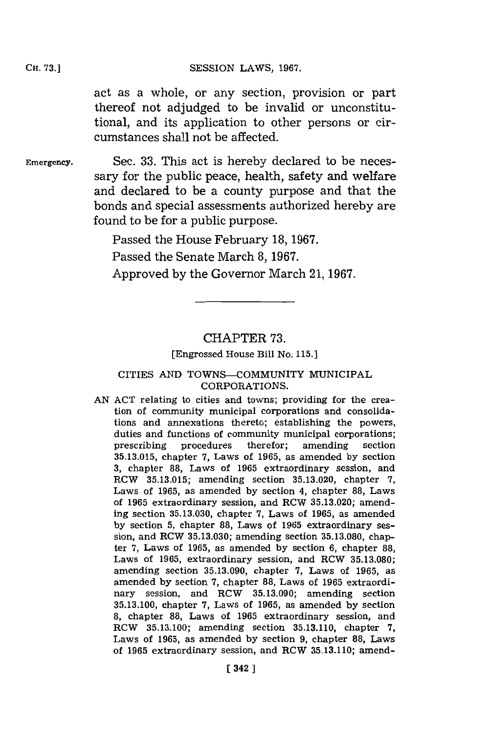#### CH. **73.]SESSION** LAWS, **1967.**

act as a whole, or any section, provision or part thereof not adjudged to be invalid or unconstitutional, and its application to other persons or circumstances shall not be affected.

Emergency. Sec. **33.** This act is hereby declared to be necessary **for** the public peace, health, safety and welfare and declared to be a county purpose and that the bonds and special assessments authorized hereby are found to be for a public purpose.

> Passed the House February **18, 1967.** Passed the Senate March **8, 1967.** Approved **by** the Governor March **21, 1967.**

## CHAPTER **73.**

[Engrossed House Bill No. **115.]**

### CITIES AND TOWNS-COMMUNITY MUNICIPAL CORPORATIONS.

**AN ACT** relating to cities and towns; providing for the creation of community municipal corporations and consolidations and annexations thereto; establishing the powers, duties and functions of community municipal corporations; prescribing procedures therefor; amending section **35.13.015,** chapter **7,** Laws of **1965,** as amended **by** section **3,** chapter **88,** Laws of **1965** extraordinary session, and RCW **35.13.015;** amending section **35.13.020,** chapter **7,** Laws of **1965,** as amended **by** section 4, chapter **88,** Laws of **1965** extraordinary session, and RCW **35.13.020;** amending section **35.13.030,** chapter **7,** Laws of **1965,** as amended **by** section **5,** chapter **88,** Laws of **1965** extraordinary ses- sion, and RCW **35.13.030;** amending section **35.13.080,** chapter **7,** Laws of **1965,** as amended **by** section **6,** chapter **88,** Laws of **1965,** extraordinary session, and RCW **35.13.080;** amending section **35.13.090,** chapter **7,** Laws of **1965,** as amended **by** section **7,** chapter **88,** Laws of **1965** extraordinary session, and RCW **35.13.090;** amending section **35.13.100,** chapter **7,** Laws of **1965,** as amended **by** section **8,** chapter **88,** Laws of **1965** extraordinary session, and RCW **35.13.100;** amending section **35.13.110,** chapter **7,** Laws of **1965,** as amended **by** section **9,** chapter **88,** Laws of **1965** extraordinary session, and RCW **35.13.110;** amend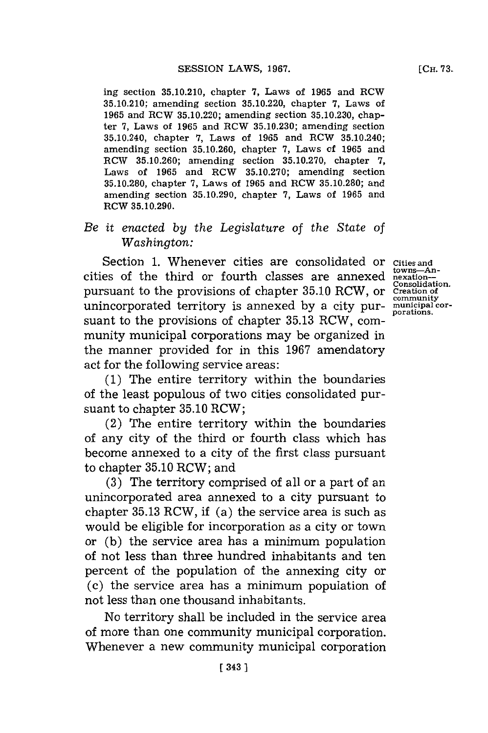ing section **35.10.210,** chapter **7,** Laws of **1965** and RCW **35.10.210;** amending section **35.10.220,** chapter **7,** Laws of **1965** and RCW **35.10.220;** amending section **35.10.230,** chapter **7,** Laws of **1965** and RCW **35.10.230;** amending section 35.10.240, chapter **7,** Laws of **1965** and RCW 35.10.240; amending section **35.10.260,** chapter **7,** Laws of **1965** and RCW **35.10.260;** amending section **35.10.270,** chapter **7,** Laws of **1965** and RCW **35.10.270;** amending section **35.10.280,** chapter **7,** Laws of **1965** and RCW **35.10.280;** and amending section **35.10.290,** chapter **7,** Laws of **1965** and RCW **35.10.290.**

# *Be it enacted by the Legislature of the State of Washington:*

Section **1.** Whenever cities are consolidated or **Cities and** cities of the third or fourth classes are annexed **towns-An-nexation-Consolidation.** pursuant to the provisions of chapter **35.10** RCW, or unincorporated territory is annexed **by** a city pur-**municipal cor- porations.** suant to the provisions of chapter **35.13** RCW, community municipal corporations may be organized in the manner provided for in this **1967** amendatory act for the following service areas:

**(1)** The entire territory within the boundaries of the least populous of two cities consolidated pursuant to chapter **35.10** RCW;

(2) The entire territory within the boundaries of any city of the third or fourth class which has become annexed to a city of the first class pursuant to chapter **35.10** RCW; and

**(3)** The territory comprised of all or a part of an unincorporated area annexed to a city pursuant to chapter **35.13** RCW, if (a) the service area is such as would be eligible for incorporation as a city or town or **(b)** the service area has a minimum population of not less than three hundred inhabitants and ten percent of the population of the annexing city or (c) the service area has a minimum population of not less than one thousand inhabitants.

No territory shall be included in the service area of more than one community municipal corporation. Whenever a new community municipal corporation

**Creation of community**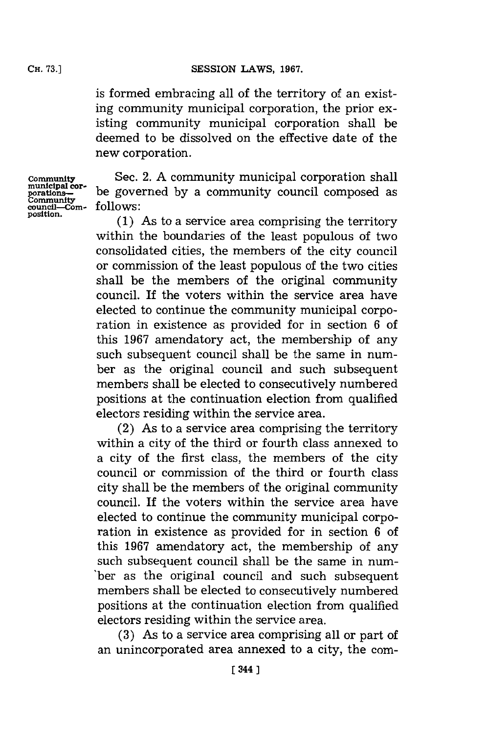is formed embracing all of the territory of an existing community municipal corporation, the prior existing community municipal corporation shall be deemed to be dissolved on the effective date of the new corporation.

**Community<br>municipal cor-<br>porations Community**<br>Community<br>council—Com**position.**

Sec. 2. **A** community municipal corporation shall be governed **by** a community council composed as **follows:**

**(1)** As to a service area comprising the territory within the boundaries of the least populous of two consolidated cities, the members of the city council or commission of the least populous of the two cities shall be the members of the original community council. If the voters within the service area have elected to continue the community municipal corporation in existence as provided for in section **6** of this **1967** amendatory act, the membership of any such subsequent council shall be the same in number as the original council and such subsequent members shall be elected to consecutively numbered positions at the continuation election from qualified electors residing within the service area.

(2) As to a service area comprising the territory within a city of the third or fourth class annexed to a city of the first class, the members of the city council or commission of the third or fourth class city shall be the members of the original community council. If the voters within the service area have elected to continue the community municipal corporation in existence as provided for in section **6** of this **1967** amendatory act, the membership of any such subsequent council shall be the same in num- 'ber as the original council and such subsequent members shall be elected to consecutively numbered positions at the continuation election from qualified electors residing within the service area.

**(3)** As to a service area comprising all or part of an unincorporated area annexed to a city, the com-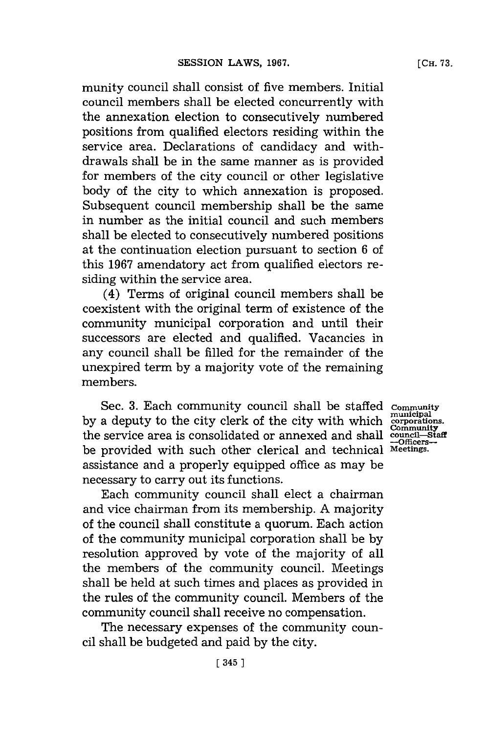munity council shall consist of five members. Initial council members shall be elected concurrently with the annexation election to consecutively numbered positions from qualified electors residing within the service area. Declarations of candidacy and withdrawals shall be in the same manner as is provided for members of the city council or other legislative body of the city to which annexation is proposed. Subsequent council membership shall be the same in number as the initial council and such members shall be elected to consecutively numbered positions at the continuation election pursuant to section **6** of this **1967** amendatory act from qualified electors residing within the service area.

(4) Terms of original council members shall be coexistent with the original term of existence of the community municipal corporation and until their successors are elected and qualified. Vacancies in any council shall be filled for the remainder of the unexpired term **by** a majority vote of the remaining members.

Sec. **3.** Each community council shall be staffed **by** a deputy to the city clerk of the city with which the service area is consolidated or annexed and shall be provided with such other clerical and technical assistance and a properly equipped office as may be necessary to carry out its functions.

Each community council shall elect a chairman and vice chairman from its membership. **A** majority of the council shall constitute a quorum. Each action of the community municipal corporation shall be **by** resolution approved **by** vote of the majority of all the members of the community council. Meetings shall be held at such times and places as provided in the rules of the community council. Members of the community council shall receive no compensation.

The necessary expenses of the community council shall be budgeted and paid **by** the city.

**Community municipal corporations.** Community<br>
council-Staff<br>
-Officers-**Meetings.**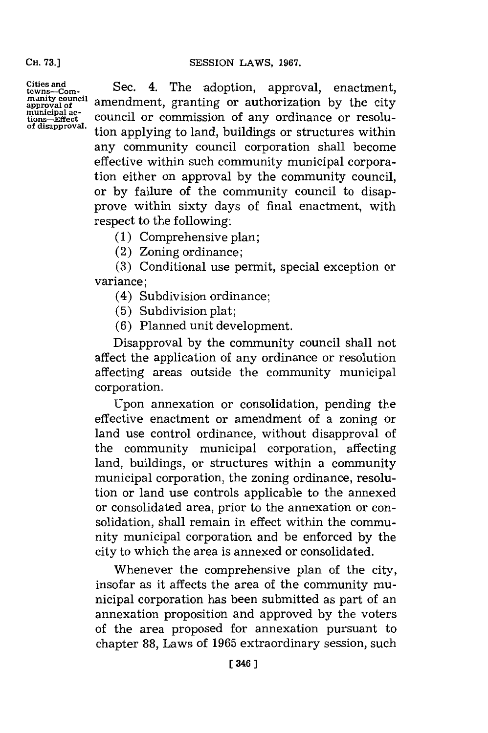**CH. 73.)**

**Cities and towns-Com-munity council approval of** approval of<br>municipal ac-<br>tions—Effect<br>of disapproval.

Sec. 4. The adoption, approval, enactment, amendment, granting or authorization **by** the city council or commission of any ordinance or resolution applying to land, buildings or structures within any community council corporation shall become effective within such community municipal corporation either on approval **by** the community council, or **by** failure of the community council to disapprove within sixty days of final enactment, with respect to the following:

**(1)** Comprehensive plan;

(2) Zoning ordinance;

**(3)** Conditional use permit, special exception or variance;

(4) Subdivision ordinance;

**(5)** Subdivision plat;

**(6)** Planned unit development.

Disapproval **by** the community council shall not affect the application of any ordinance or resolution affecting areas outside the community municipal corporation.

Upon annexation or consolidation, pending the effective enactment or amendment of a zoning or land use control ordinance, without disapproval of the community municipal corporation, affecting land, buildings, or structures within a community municipal corporation, the zoning ordinance, resolution or land use controls applicable to the annexed or consolidated area, prior to the annexation or consolidation, shall remain in effect within the community municipal corporation and be enforced **by** the city to which the area is annexed or consolidated.

Whenever the comprehensive plan of the city, insofar as it affects the area of the community municipal corporation has been submitted as part of an annexation proposition and approved **by** the voters of the area proposed for annexation pursuant to chapter **88,** Laws of **1965** extraordinary session, such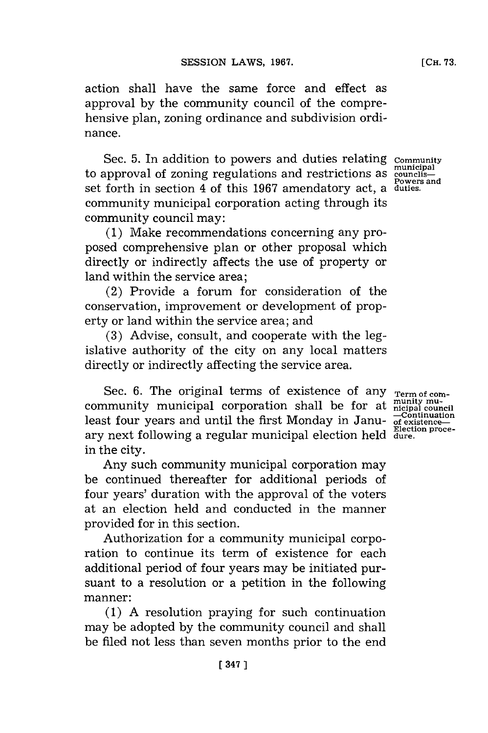action shall have the same force and effect as approval **by** the community council of the comprehensive plan, zoning ordinance and subdivision ordinance.

Sec. 5. In addition to powers and duties relating community to approval of zoning regulations and restrictions as <sup>municip</sup> set forth in section 4 of this **1967** amendatory act, a **duties.** community municipal corporation acting through its community council may: **municipal**

**(1)** Make recommendations concerning any proposed comprehensive plan or other proposal which directly or indirectly affects the use of property or land within the service area;

(2) Provide a forum for consideration of the conservation, improvement or development of property or land within the service area; and

**(3)** Advise, consult, and cooperate with the legislative authority of the city on any local matters directly or indirectly affecting the service area.

Sec. 6. The original terms of existence of any <sub>Term of com-</sub> Sec. 6. The original terms of existence of any <sub>Term of com-</sub><br>community municipal corporation shall be for at musity muleast four years and until the first Monday in Janu- of existence ary next following a regular municipal election held **Election proce-dure.** in the city.

Any such community municipal corporation may be continued thereafter for additional periods of four years' duration with the approval of the voters at an election held and conducted in the manner provided for in this section.

Authorization for a community municipal corporation to continue its term of existence for each additional period of four years may be initiated pursuant to a resolution or a petition in the following manner:

(1) A resolution praying for such continuation may be adopted **by** the community council and shall be filed not less than seven months prior to the end

**Powers and**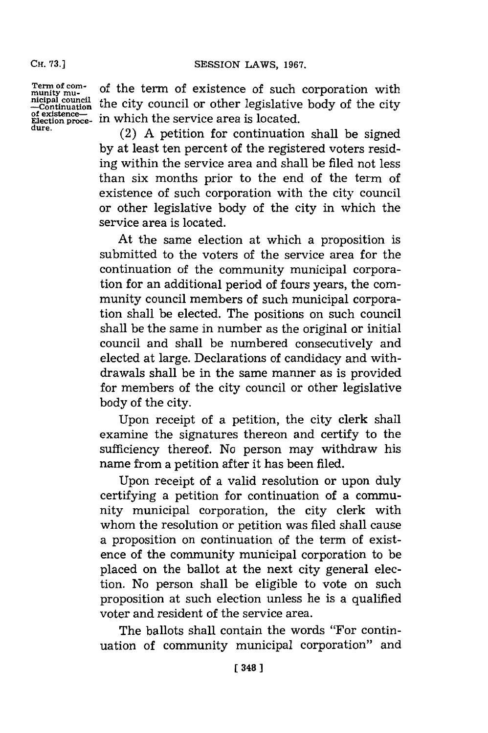**CH. 73.]**

**Term of com- munity mu- nicipal council -Continuation of existence-Election proce- dure.** of the term of existence of such corporation with the city council or other legislative body of the city in which the service area is located.

(2) **A** petition for continuation shall be signed **by** at least ten percent of the registered voters residing within the service area and shall be filed not less than six months prior to the end of the term of existence of such corporation with the city council or other legislative body of the city in which the service area is located.

At the same election at which a proposition is submitted to the voters of the service area for the continuation of the community municipal corporation for an additional period of fours years, the community council members of such municipal corporation shall be elected. The positions on such council shall be the same in number as the original or initial council and shall be numbered consecutively and elected at large. Declarations of candidacy and withdrawals shall be in the same manner as is provided for members of the city council or other legislative body of the city.

Upon receipt of a petition, the city clerk shall examine the signatures thereon and certify to the sufficiency thereof. No person may withdraw his name from a petition after it has been filed.

Upon receipt of a valid resolution or upon duly certifying a petition for continuation of a community municipal corporation, the city clerk with whom the resolution or petition was filed shall cause a proposition on continuation of the term of existence of the community municipal corporation to be placed on the ballot at the next city general election. No person shall be eligible to vote on such proposition at such election unless he is a qualified voter and resident of the service area.

The ballots shall contain the words "For continuation of community municipal corporation" and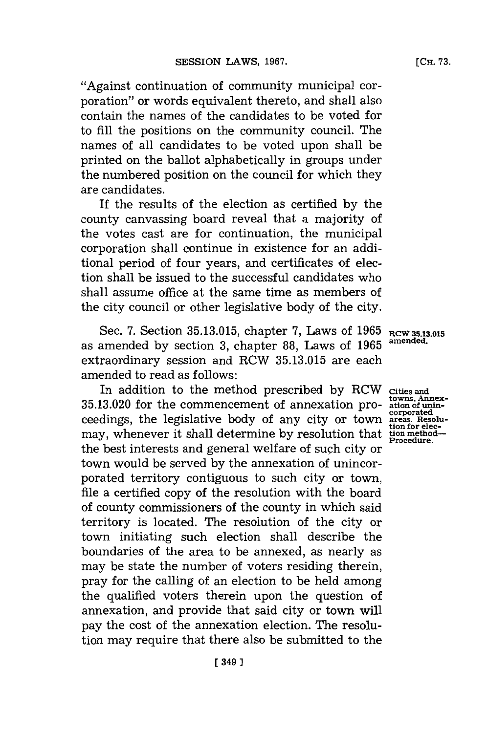[Сн. 73.

"Against continuation of community municipal corporation" or words equivalent thereto, and shall also contain the names of the candidates to be voted for to **fill** the positions on the community council. The names of all candidates to be voted upon shall be printed on the ballot alphabetically in groups under the numbered position on the council for which they are candidates.

If the results of the election as certified **by** the county canvassing board reveal that a majority of the votes cast are for continuation, the municipal corporation shall continue in existence for an additional period of four years, and certificates of election shall be issued to the successful candidates who shall assume office at the same time as members of the city council or other legislative body of the city.

Sec. 7. Section 35.13.015, chapter 7, Laws of 1965 RCW 35.13.015<br> **amonded** by section 3, abantar 99, Laws of 1965 amended. as amended **by** section **3,** chapter **88,** Laws of **1965 amended.** extraordinary session and RCW **35.13.015** are each amended to read as follows:

In addition to the method prescribed **by** RCW **Cities and 35.13.020** for the commencement of annexation pro- **ationof unin**ceedings, the legislative body of any city or town areas. Resolumay, whenever it shall determine by resolution that **the procedure**. the best interests and general welfare of such city or town would be served **by** the annexation of unincorporated territory contiguous to such city or town, file a certified copy of the resolution with the board of county commissioners of the county in which said territory is located. The resolution of the city or town initiating such election shall describe the boundaries of the area to be annexed, as nearly as may be state the number of voters residing therein, pray for the calling of an election to be held among the qualified voters therein upon the question of annexation, and provide that said city or town will pay the cost of the annexation election. The resolution may require that there also be submitted to the

**tion for elec-**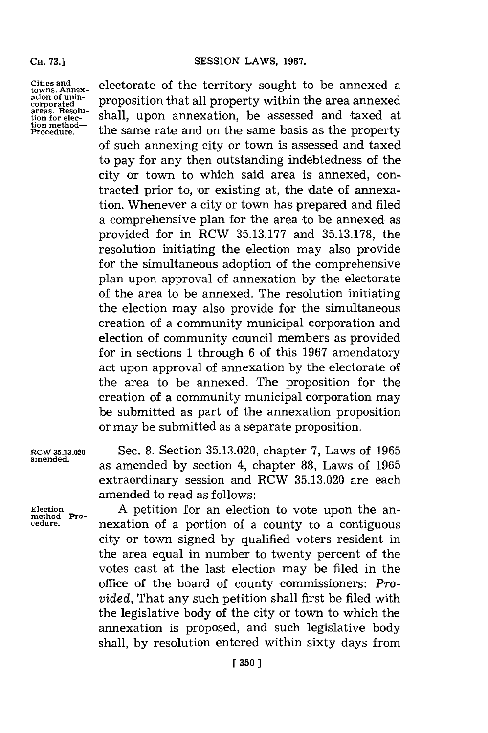**Cities and towns. Annexation of unincorporated areas. Resolution for election method-Procedure.**

electorate of the territory sought to be annexed a proposition that all property within the area annexed shall, upon annexation, be assessed and taxed at the same rate and on the same basis as the property of such annexing city or town is assessed and taxed to pay for any then outstanding indebtedness of the city or town to which said area is annexed, contracted prior to, or existing at, the date of annexation. Whenever a city or town has prepared and filed a comprehensive plan for the area to be annexed as provided for in RCW **35.13.177** and **35.13.178,** the resolution initiating the election may also provide for the simultaneous adoption of the comprehensive plan upon approval of annexation **by** the electorate of the area to be annexed. The resolution initiating the election may also provide for the simultaneous creation of a community municipal corporation and election of community council members as provided for in sections **1** through **6** of this **1967** amendatory act upon approval of annexation **by** the electorate of the area to be annexed. The proposition for the creation of a community municipal corporation may be submitted as part of the annexation proposition or may be submitted as a separate proposition.

**RCW 35.13.020** Sec. **8.** Section **35.13.020,** chapter **7,** Laws of **1965** amened. as amended **by** section 4, chapter **88,** Laws of **<sup>1965</sup>** extraordinary session and RCW **35.13.020** are each amended to read as follows:

Election **A** petition for an election to vote upon the an<u>method</u>-Pro-<br>
cedure. <br> **A** persistion of a portion of a county to a contiguous **cedure.** nexation of a portion of a county to a contiguous city or town signed **by** qualified voters resident in the area equal in number to twenty percent of the votes cast at the last election may be filed in the office of the board of county commissioners: *Provided,* That any such petition shall first be filed with the legislative body of the city or town to which the annexation is proposed, and such legislative body shall, **by** resolution entered within sixty days from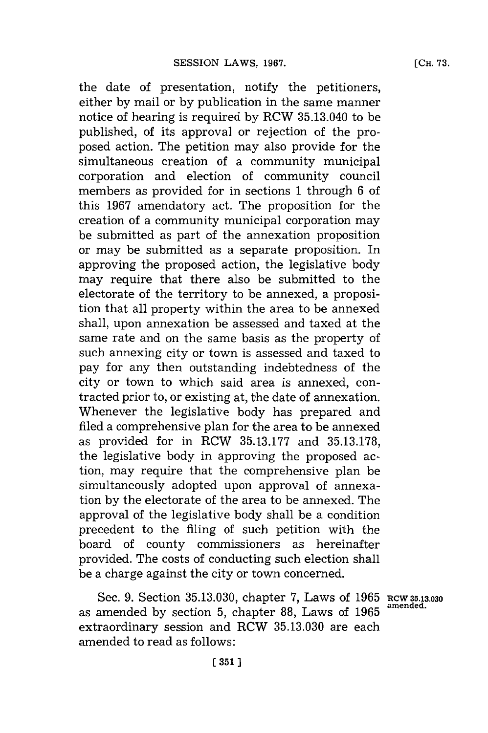the date of presentation, notify the petitioners, either **by** mail or **by** publication in the same manner notice of hearing is required **by** RCW 35.13.040 to be published, of its approval or rejection of the proposed action. The petition may also provide for the simultaneous creation of a community municipal corporation and election of community council members as provided for in sections **1** through **6** of this **1967** amendatory act. The proposition for the creation of a community municipal corporation may be submitted as part of the annexation proposition or may be submitted as a separate proposition. In approving the proposed action, the legislative body may require that there also be submitted to the electorate of the territory to be annexed, a proposition that all property within the area to be annexed shall, upon annexation be assessed and taxed at the same rate and on the same basis as the property of such annexing city or town is assessed and taxed to pay for any then outstanding indebtedness of the city or town to which said area is annexed, contracted prior to, or existing at, the date of annexation. Whenever the legislative body has prepared and filed a comprehensive plan for the area to be annexed as provided for in RCW **35.13.177** and **35.13.178,** the legislative body in approving the proposed action, may require that the comprehensive plan be simultaneously adopted upon approval of annexation **by** the electorate of the area to be annexed. The approval of the legislative body shall be a condition precedent to the filing of such petition with the board of county commissioners as hereinafter provided. The costs of conducting such election shall be a charge against the city or town concerned.

Sec. 9. Section 35.13.030, chapter 7, Laws of 1965 RCW 35.13.030 as amended **by** section **5,** chapter **88,** Laws of **1965 amended.** extraordinary session and RCW **35.13.030** are each amended to read as follows: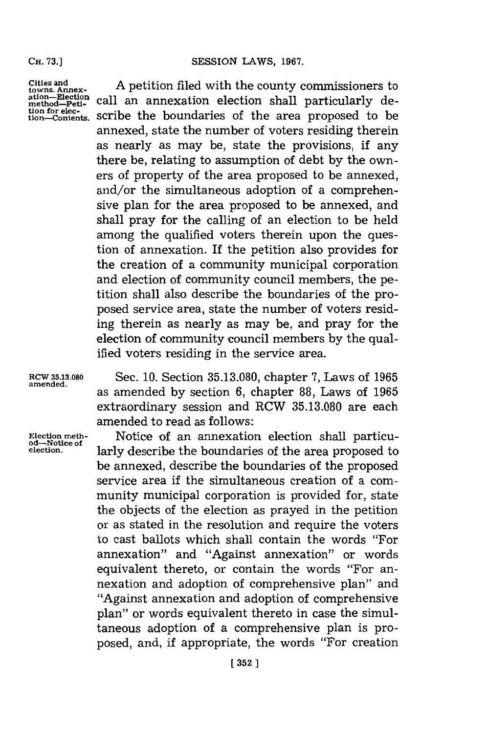**CH. 73.]**

**Cities and towns. Annex-ation-Election method-Petition for elec-tion-Contents.**

**A** petition filed with the county commissioners to call an annexation election shall particularly describe the boundaries of the area proposed to be annexed, state the number of voters residing therein as nearly as may be, state the provisions, if any there be, relating to assumption of debt **by** the owners of property of the area proposed to be annexed, and/or the simultaneous adoption of a comprehensive plan for the area proposed to be annexed, and shall pray for the calling of an election to be held among the qualified voters therein upon the question of annexation. If the petition also provides for the creation of a community municipal corporation and election of community council members, the petition shall also describe the boundaries of the proposed service area, state the number of voters residing therein as nearly as may be, and pray for the election of community council members **by** the qualified voters residing in the service area.

**RCW 35.13.080** Sec. **10.** Section **35.13.080,** chapter **7,** Laws of **<sup>1965</sup> amended.** as amended **by** section **6,** chapter **88,** Laws of **1965** extraordinary session and RCW **35.13.080** are each amended to read as follows:

**Election meth-** Notice of an annexation election shall particu- **od-Notice of election.** larly describe the boundaries of the area proposed to be annexed, describe the boundaries of the proposed service area if the simultaneous creation of a community municipal corporation is provided for, state the objects of the election as prayed in the petition or as stated in the resolution and require the voters to cast ballots which shall contain the words "For annexation" and "Against annexation" or words equivalent thereto, or contain the words "For annexation and adoption of comprehensive plan" and "Against annexation and adoption of comprehensive plan" or words equivalent thereto in case the simultaneous adoption of a comprehensive plan is proposed, and, if appropriate, the words "For creation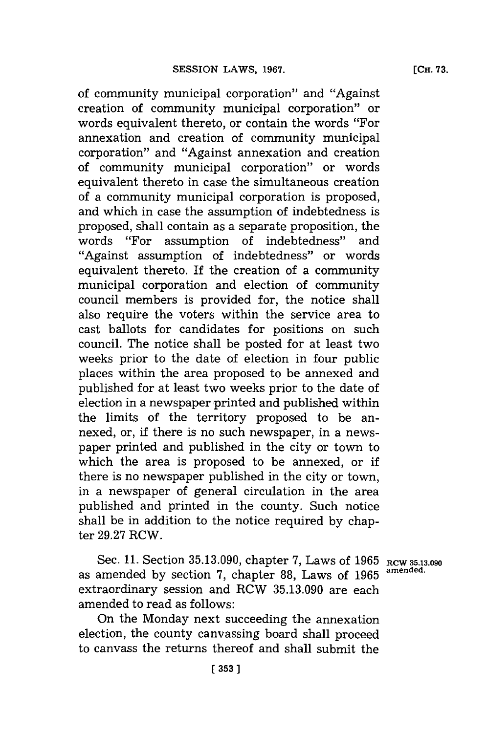of community municipal corporation" and "Against creation of community municipal corporation" or words equivalent thereto, or contain the words "For annexation and creation of community municipal corporation" and "Against annexation and creation of community municipal corporation" or words equivalent thereto in case the simultaneous creation of a community municipal corporation is proposed, and which in case the assumption of indebtedness is proposed, shall contain as a separate proposition, the words "For assumption of indebtedness" and "Against assumption of indebtedness" or words equivalent thereto. If the creation of a community municipal corporation and election of community council members is provided for, the notice shall also require the voters within the service area to cast ballots for candidates for positions on such council. The notice shall be posted for at least two weeks prior to the date of election in four public places within the area proposed to be annexed and published for at least two weeks prior to the date of election in a newspaper printed and published within the limits of the territory proposed to be annexed, or, if there is no such newspaper, in a newspaper printed and published in the city or town to which the area is proposed to be annexed, or if there is no newspaper published in the city or town, in a newspaper of general circulation in the area published and printed in the county. Such notice shall be in addition to the notice required **by** chapter **29.27** RCW.

Sec. **11.** Section **35.13.090,** chapter **7,** Laws of **1965** Rcw **35.13.090** as amended **by** section **7,** chapter **88,** Laws of **1965 amended.** extraordinary session and RCW **35.13.090** are each amended to read as follows:

On the Monday next succeeding the annexation election, the county canvassing board shall proceed to canvass the returns thereof and shall submit the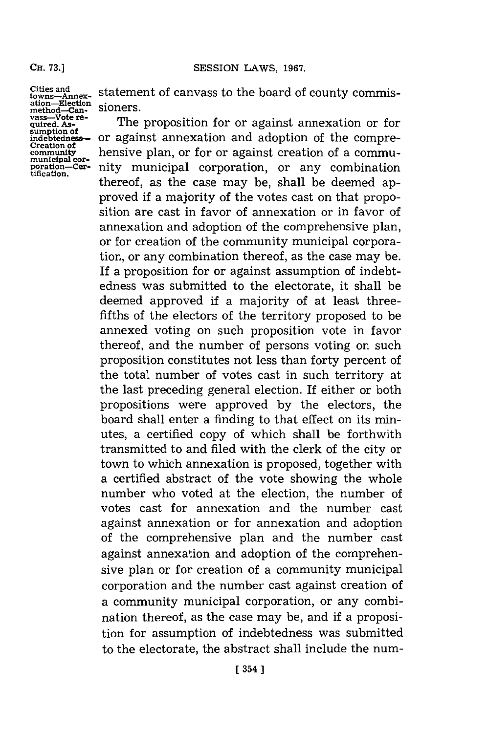#### Ca. **73.]SESSION** LAWS, **1967.**

**Cities and towns-Annex-ation-Election method-Can-vass-Vote re- quired. Assumptino indebtedes-- Creation of community municipal cor- poration-Cer-tification.**

statement of canvass to the board of county commissioners.

The proposition for or against annexation or for or against annexation and adoption of the comprehensive plan, or for or against creation of a community municipal corporation, or any combination thereof, as the case may be, shall be deemed approved if a majority of the votes cast on that proposition are cast in favor of annexation or in favor of annexation and adoption of the comprehensive plan, or for creation of the community municipal corporation, or any combination thereof, as the case may be. **If** a proposition for or against assumption of indebtedness was submitted to the electorate, it shall be deemed approved if a majority of at least threefifths of the electors of the territory proposed to be annexed voting on such proposition vote in favor thereof, and the number of persons voting on such proposition constitutes not less than forty percent of the total number of votes cast in such territory at the last preceding general election. If either or both propositions were approved **by** the electors, the board shall enter a finding to that effect on its minutes, a certified copy of which shall be forthwith transmitted to and filed with the clerk of the city or town to which annexation is proposed, together with a certified abstract of the vote showing the whole number who voted at the election, the number of votes cast for annexation and the number cast against annexation or for annexation and adoption of the comprehensive plan and the number cast against annexation and adoption of the comprehensive plan or for creation of a community municipal corporation and the number cast against creation of a community municipal corporation, or any combination thereof, as the case may be, and if a proposition for assumption of indebtedness was submitted to the electorate, the abstract shall include the num-

**CH. 73.]**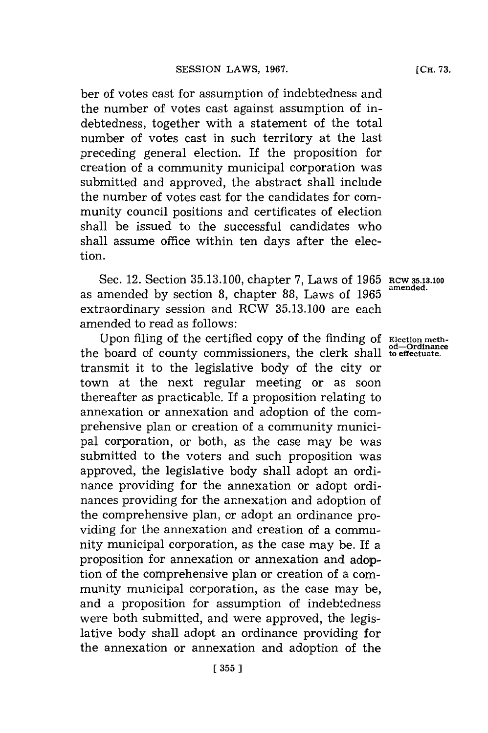ber of votes cast for assumption of indebtedness and the number of votes cast against assumption of indebtedness, together with a statement of the total number of votes cast in such territory at the last preceding general election. If the proposition for creation of a community municipal corporation was submitted and approved, the abstract shall include the number of votes cast **for** the candidates for community council positions and certificates of election shall be issued to the successful candidates who shall assume office within ten days after the election.

Sec. 12. Section **35.13.100,** chapter **7,** Laws of **1965 RCW 35.13.100** as amended by section 8, chapter 88, Laws of 1965 extraordinary session and RCW **35.13.100** are each amended to read as follows:

Upon filing of the certified copy of the finding of **Election** meththe board of county commissioners, the clerk shall **to effectuate.** transmit it to the legislative body of the city or town at the next regular meeting or as soon thereafter as practicable. If a proposition relating to annexation or annexation and adoption of the comprehensive plan or creation of a community municipal corporation, or both, as the case may be was submitted to the voters and such proposition was approved, the legislative body shall adopt an ordinance providing for the annexation or adopt ordinances providing for the annexation and adoption of the comprehensive plan, or adopt an ordinance providing for the annexation and creation of a community municipal corporation, as the case may be. If a proposition for annexation or annexation and adoption of the comprehensive plan or creation of a community municipal corporation, as the case may be, and a proposition for assumption of indebtedness were both submitted, and were approved, the legislative body shall adopt an ordinance providing for the annexation or annexation and adoption of the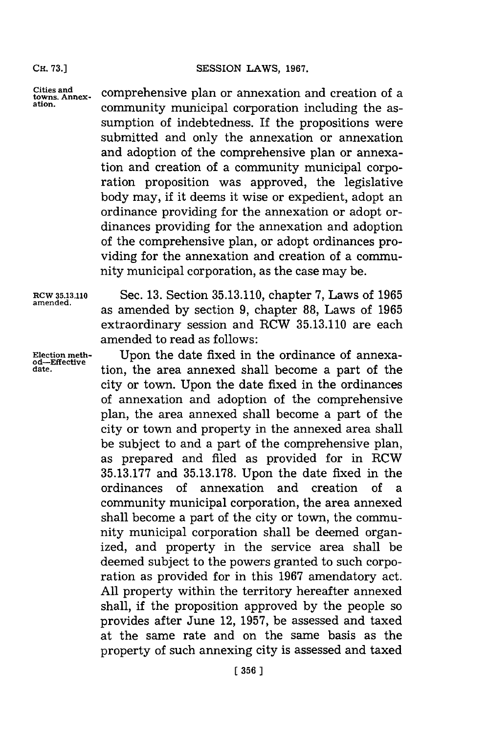**CH. 73.]**

**Cities and towns. Annexation.**

comprehensive plan or annexation and creation of a community municipal corporation including the assumption of indebtedness. If the propositions were submitted and only the annexation or annexation and adoption of the comprehensive plan or annexation and creation of a community municipal corporation proposition was approved, the legislative body may, if it deems it wise or expedient, adopt an ordinance providing for the annexation or adopt ordinances providing for the annexation and adoption of the comprehensive plan, or adopt ordinances providing for the annexation and creation of a community municipal corporation, as the case may be.

**ad-Effective**

**RCW 35.13.110** Sec. **13.** Section **35.13.110,** chapter **7,** Laws of **1965** amened. as amended **by** section **9,** chapter **88,** Laws of **<sup>1965</sup>** extraordinary session and RCW **35.13.110** are each amended to read as follows:

**Election meth-** Upon the date fixed in the ordinance of annexation, the area annexed shall become a part of the city or town. Upon the date fixed in the ordinances of annexation and adoption of the comprehensive plan, the area annexed shall become a part of the city or town and property in the annexed area shall be subject to and a part of the comprehensive plan, as prepared and filed as provided for in RCW **35.13.177** and **35.13.178.** Upon the date fixed in the ordinances of annexation and creation of a community municipal corporation, the area annexed shall become a part of the city or town, the community municipal corporation shall be deemed organized, and property in the service area shall be deemed subject to the powers granted to such corporation as provided for in this **1967** amendatory act. **All** property within the territory hereafter annexed shall, if the proposition approved **by** the people so provides after June 12, **1957,** be assessed and taxed at the same rate and on the same basis as the property of such annexing city is assessed and taxed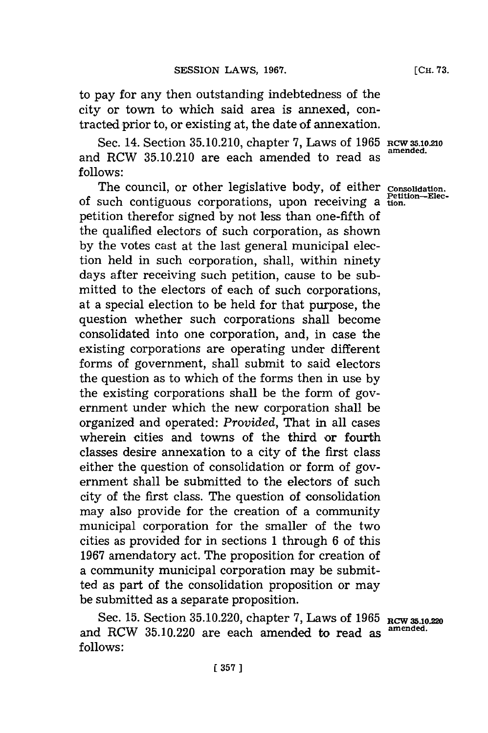to pay for any then outstanding indebtedness of the city or town to which said area is annexed, contracted prior to, or existing at, the date of annexation.

Sec. 14. Section 35.10.210, chapter 7, Laws of 1965 RCW 35.10.210 and RCW 35.10.210 are each amended to read as *follows:*

The council, or other legislative body, of either **Consolidatio** of such contiguous corporations, upon receiving a  $t_{\text{ion}}^{\text{petuon}-\text{Elec}}$ petition therefor signed **by** not less than one-fifth of the qualified electors of such corporation, as shown **by** the votes cast at the last general municipal election held in such corporation, shall, within ninety days after receiving such petition, cause to be submitted to the electors of each of such corporations, at a special election to be held for that purpose, the question whether such corporations shall become consolidated into one corporation, and, in case the existing corporations are operating under different forms of government, shall submit to said electors the question as to which of the forms then in use **by** the existing corporations shall be the form of government under which the new corporation shall be organized and operated: *Provided,* That in all cases wherein cities and towns of the third or fourth classes desire annexation to a city of the first class either the question of consolidation or form of government shall be submitted to the electors of such city of the first class. The question of consolidation may also provide for the creation of a community municipal corporation for the smaller of the two cities as provided for in sections **1** through **6** of this **1967** amendatory act. The proposition for creation of a community municipal corporation may be submitted as part of the consolidation proposition or may be submitted as a separate proposition.

Sec. 15. Section 35.10.220, chapter 7, Laws of 1965 RCW 35.10.220 and RCW 35.10.220 are each amended to read as **follows:**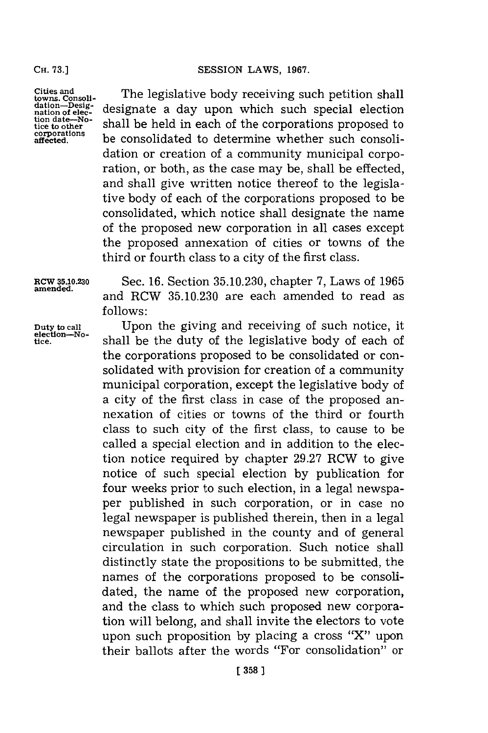**CH. 73.]**

**Cities and towns. Consoll-dation-Designation of election date-No-tice to other corprations afet ed.**

The legislative body receiving such petition shall designate a day upon which such special election shall be held in each of the corporations proposed to be consolidated to determine whether such consolidation or creation of a community municipal corporation, or both, as the case may be, shall be effected, and shall give written notice thereof to the legislative body of each of the corporations proposed to be consolidated, which notice shall designate the name of the proposed new corporation in all cases except the proposed annexation of cities or towns of the third or fourth class to a city of the first class.

Duty to call<br>election-No-<br>tice

**RCW 35.1.230** Sec. **16.** Section **35.10.230,** chapter **7,** Laws of **<sup>1965</sup> amended,** and RCW **35.10.230** are each amended to read as **f ollows:**

Upon the giving and receiving of such notice, it **tice,** shall be the duty of the legislative body of each of the corporations proposed to be consolidated or consolidated with provision for creation of a community municipal corporation, except the legislative body of a city of the first class in case of the proposed annexation of cities or towns of the third or fourth class to such city of the first class, to cause to be called a special election and in addition to the election notice required **by** chapter **29.27** RCW to give notice of such special election **by** publication for four weeks prior to such election, in a legal newspaper published in such corporation, or in case no legal newspaper is published therein, then in a legal newspaper published in the county and of general circulation in such corporation. Such notice shall distinctly state the propositions to be submitted, the names of the corporations proposed to be consolidated, the name of the proposed new corporation, and the class to which such proposed new corporation will belong, and shall invite the electors to vote upon such proposition **by** placing a cross "X"' upon their ballots after the words "For consolidation" or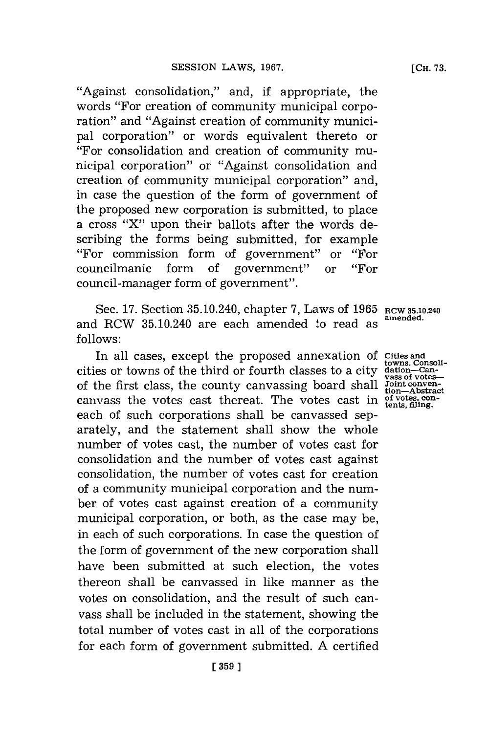"Against consolidation," and, if appropriate, the words "For creation of community municipal corporation" and "Against creation of community municipal corporation" or words equivalent thereto or "For consolidation and creation of community municipal corporation" or "Against consolidation and creation of community municipal corporation" and, in case the question of the form of government of the proposed new corporation is submitted, to place a cross "X" upon their ballots after the words describing the forms being submitted, for example "For commission form of government" or "For councilmanic form of government" or "For council-manager form of government".

Sec. 17. Section 35.10.240, chapter 7, Laws of 1965 RCW 35.10.240 amended. and RCW 35.10.240 are each amended to read as **follows:**

In all cases, except the proposed annexation of Cities and<br>towns.Consoli-<br>eis or towns of the third or fourth classes to a city dation—Can-<br>the first class, the county canvassing board shall Joint conven-<br>the votes cast th cities or towns of the third or fourth classes to a city of the first class, the county canvassing board shall canvass the votes cast thereat. The votes cast in each of such corporations shall be canvassed separately, and the statement shall show the whole number of votes cast, the number of votes cast for consolidation and the number of votes cast against consolidation, the number of votes cast for creation of a community municipal corporation and the number of votes cast against creation of a community municipal corporation, or both, as the case may be, in each of such corporations. In case the question of the form of government of the new corporation shall have been submitted at such election, the votes thereon shall be canvassed in like manner as the votes on consolidation, and the result of such canvass shall be included in the statement, showing the total number of votes cast in all of the corporations for each form of government submitted. **A** certified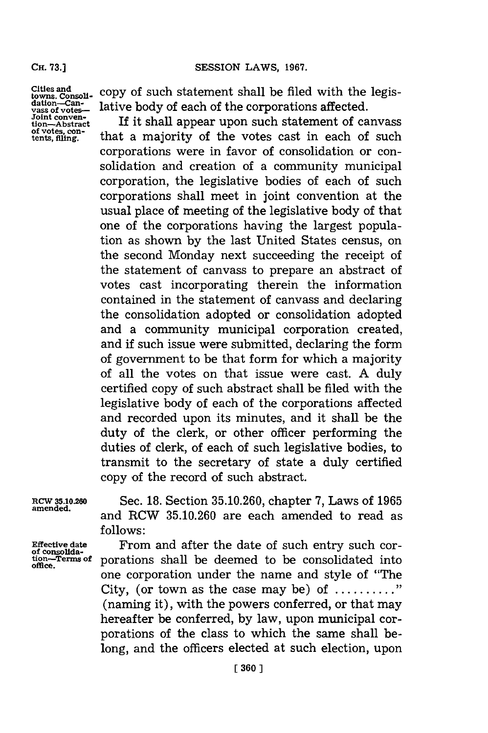## **Cif.73.]SESSION LAWS, 1967.**

Cir. **73.]**

**Cities and towns. ConsoUi-dation-Can-vass of votes-Joint conven- tion-Abstract of votes, con- tents, Miing.**

copy of such statement shall be filed with the legislative body of each of the corporations affected.

If it shall appear upon such statement of canvass that a majority of the votes cast in each of such corporations were in favor of consolidation or consolidation and creation of a community municipal corporation, the legislative bodies of each of such corporations shall meet in joint convention at the usual place of meeting of the legislative body of that one of the corporations having the largest population as shown **by** the last United States census, on the second Monday next succeeding the receipt of the statement of canvass to prepare an abstract of votes cast incorporating therein the information contained in the statement of canvass and declaring the consolidation adopted or consolidation adopted and a community municipal corporation created, and if such issue were submitted, declaring the form of government to be that form for which a majority of all the votes on that issue were cast. **A** duly certified copy of such abstract shall be filed with the legislative body of each of the corporations affected and recorded upon its minutes, and it shall be the duty of the clerk, or other officer performing the duties of clerk, of each of such legislative bodies, to transmit to the secretary of state a duly certified copy of the record of such abstract.

RCW **3.10.M** Sec. **18.** Section **35.10.260,** chapter **7,** Laws of **1965 amended,** and RCW **35.10.260** are each amended to read as **follows:**

Effective date **From and after the date of such entry such cor-** of consolida-<br> **Example 3** tign-Terms of porations shall be deemed to be consolidated into **tion-Terms of** porations shall be deemed to be consolidated into **office.** one corporation under the name and style of "The City, (or town as the case may be) of **.........** (naming it), with the powers conferred, or that may hereafter be conferred, **by** law, upon municipal corporations of the class to which the same shall belong, and the officers elected at such election, upon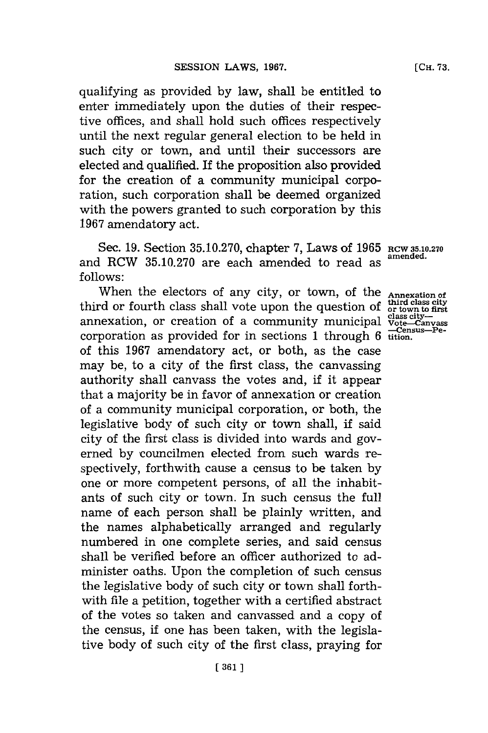qualifying as provided **by** law, shall be entitled to enter immediately upon the duties of their respective offices, and shall hold such offices respectively until the next regular general election to be held in such city or town, and until their successors are elected and qualified. If the proposition also provided for the creation of a community municipal corporation, such corporation shall be deemed organized with the powers granted to such corporation **by** this **1967** amendatory act.

Sec. **19.** Section **35.10.270,** chapter **7,** Laws of **1965** RCW **35.10.270** and RCW 35.10.270 are each amended to read as **follows:**

When the electors of any city, or town, of the **Annexation of** rd or fourth class shall vote upon the question of or town to first third or fourth class shall vote upon the question of  $\frac{\text{third class city}}{\text{of last city}}$ <br>annexation, or creation of a community municipal  $\frac{\text{class city}}{\text{of the}-\text{Canvass}}$ annexation, or creation of a community municipal corporation as provided for in sections 1 through 6  $\frac{C_{\text{cm}}}{\text{ttion}}$ . of this **1967** amendatory act, or both, as the case may be, to a city of the first class, the canvassing authority shall canvass the votes and, if it appear that a majority be in favor of annexation or creation of a community municipal corporation, or both, the legislative body of such city or town shall, **if** said city of the first class is divided into wards and governed **by** 'councilmen elected from such wards respectively, forthwith cause a census to be taken **by** one or more competent persons, of all the inhabitants of such city or town. In such census the full name of each person shall be plainly written, and the names alphabetically arranged and regularly numbered in one complete series, and said census shall be verified before an officer authorized to administer oaths. Upon the completion of such census the legislative body of such city or town shall forthwith file a petition, together with a certified abstract of the votes so taken and canvassed and a copy of the census, if one has been taken, with the legislative body of such city of the first class, praying for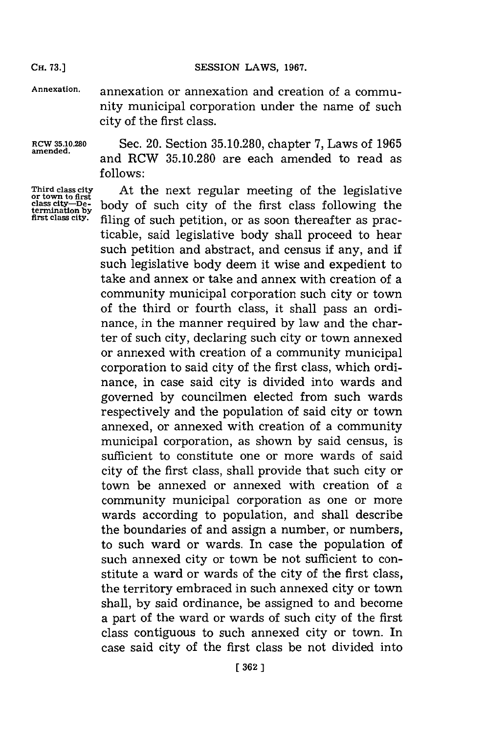#### CH. **73.]SESSION** LAWS, **1967.**

**CH. 73.]**

**Annexation,** annexation or annexation and creation of a community municipal corporation under the name of such city of the first class.

**RCW 35.10.280** Sec. 20. Section **35.10.280,** chapter **7,** Laws of **1965** and RCW 35.10.280 are each amended to read as **follows:**

**Third class city** At the next regular meeting of the legislative **or town to first** body of such city of the first class following the first class city. **filing of such petition**, or as soon thereafter as practicable, said legislative body shall proceed to hear such petition and abstract, and census if any, and if such legislative body deem it wise and expedient to take and annex or take and annex with creation of a community municipal corporation such city or town of the third or fourth class, it shall pass an ordinance, in the manner required **by** law and the charter of such city, declaring such city or town annexed or annexed with creation of a community municipal corporation to said city of the first class, which ordinance, in case said city is divided into wards and governed **by** councilmen elected from such wards respectively and the population of said city or town annexed, or annexed with creation of a community municipal corporation, as shown **by** said census, is sufficient to constitute one or more wards of said city of the first class, shall provide that such city or town be annexed or annexed with creation of a community municipal corporation as one or more wards according to population, and shall describe the boundaries of and assign a number, or numbers, to such ward or wards. In case the population of such annexed city or town be not sufficient to constitute a ward or wards of the city of the first class, the territory embraced in such annexed city or town shall, **by** said ordinance, be assigned to and become a part of the ward or wards of such city of the first class contiguous to such annexed city or town. In case said city of the first class be not divided into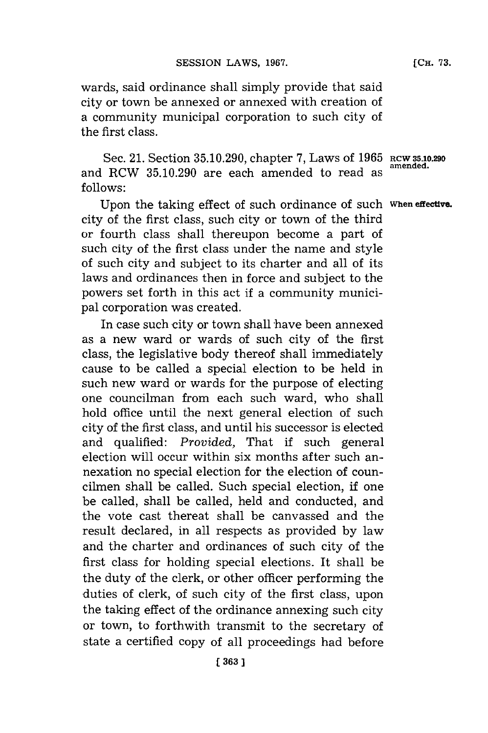wards, said ordinance shall simply provide that said city or town be annexed or annexed with creation of a community municipal corporation to such city of the first class.

Sec. 21. Section **35.10.290,** chapter **7,** Laws of **1965 RCW 5.1.290** and RCW 35.10.290 are each amended to read as **follows:**

Upon the taking effect of such ordinance of such **When effective.** city of the first class, such city or town of the third or fourth class shall thereupon become a part of such city of the first class under the name and style of such city and subject to its charter and all of its laws and ordinances then in force and subject to the powers set forth in this act if a community municipal corporation was created.

In case such city or town shall have been annexed as a new ward or wards of such city of the first class, the legislative body thereof shall immediately cause to be called a special election to be held in such new ward or wards for the purpose of electing one councilman from each such ward, who shall hold office until the next general election of such city of the first class, and until his successor is elected and qualified: *Provided,* That if such general election will occur within six months after such annexation no special election for the election of councilmen shall be called. Such special election, **if** one be called, shall be called, held and conducted, and the vote cast thereat shall be canvassed and the result declared, in all respects as provided **by** law and the charter and ordinances of such city of the first class for holding special elections. It shall be the duty of the clerk, or other officer performing the duties of clerk, of such city of the first class, upon the taking effect of the ordinance annexing such city or town, to forthwith transmit to the secretary of state a certified copy of all proceedings had before **[CH. 73.**